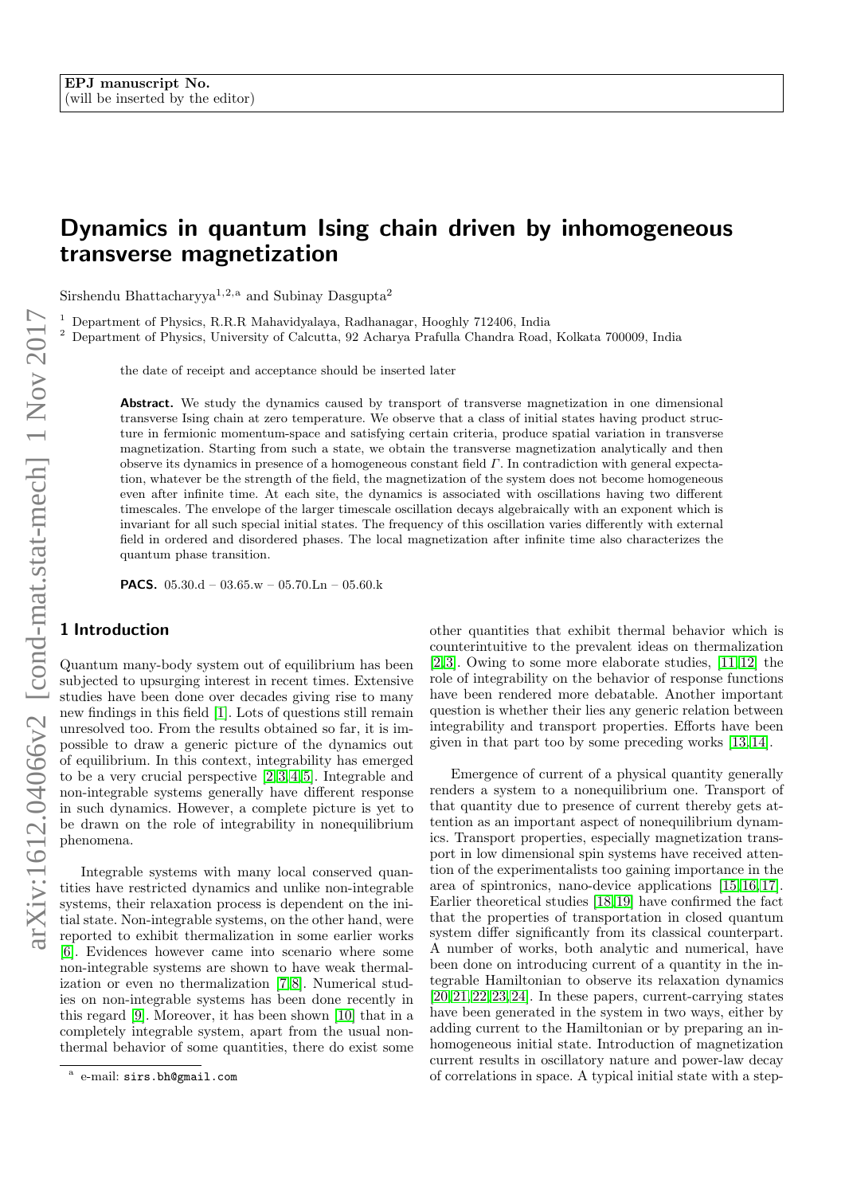# Dynamics in quantum Ising chain driven by inhomogeneous transverse magnetization

Sirshendu Bhattacharyya<sup>1,2,a</sup> and Subinay Dasgupta<sup>2</sup>

<sup>1</sup> Department of Physics, R.R.R Mahavidyalaya, Radhanagar, Hooghly 712406, India

<sup>2</sup> Department of Physics, University of Calcutta, 92 Acharya Prafulla Chandra Road, Kolkata 700009, India

the date of receipt and acceptance should be inserted later

Abstract. We study the dynamics caused by transport of transverse magnetization in one dimensional transverse Ising chain at zero temperature. We observe that a class of initial states having product structure in fermionic momentum-space and satisfying certain criteria, produce spatial variation in transverse magnetization. Starting from such a state, we obtain the transverse magnetization analytically and then observe its dynamics in presence of a homogeneous constant field  $\Gamma$ . In contradiction with general expectation, whatever be the strength of the field, the magnetization of the system does not become homogeneous even after infinite time. At each site, the dynamics is associated with oscillations having two different timescales. The envelope of the larger timescale oscillation decays algebraically with an exponent which is invariant for all such special initial states. The frequency of this oscillation varies differently with external field in ordered and disordered phases. The local magnetization after infinite time also characterizes the quantum phase transition.

**PACS.**  $05.30.d - 03.65.w - 05.70.Ln - 05.60.k$ 

## 1 Introduction

Quantum many-body system out of equilibrium has been subjected to upsurging interest in recent times. Extensive studies have been done over decades giving rise to many new findings in this field [\[1\]](#page-6-0). Lots of questions still remain unresolved too. From the results obtained so far, it is impossible to draw a generic picture of the dynamics out of equilibrium. In this context, integrability has emerged to be a very crucial perspective [\[2,](#page-6-1) [3,](#page-6-2) [4,](#page-6-3) [5\]](#page-6-4). Integrable and non-integrable systems generally have different response in such dynamics. However, a complete picture is yet to be drawn on the role of integrability in nonequilibrium phenomena.

Integrable systems with many local conserved quantities have restricted dynamics and unlike non-integrable systems, their relaxation process is dependent on the initial state. Non-integrable systems, on the other hand, were reported to exhibit thermalization in some earlier works [\[6\]](#page-6-5). Evidences however came into scenario where some non-integrable systems are shown to have weak thermalization or even no thermalization [\[7,](#page-6-6)[8\]](#page-6-7). Numerical studies on non-integrable systems has been done recently in this regard [\[9\]](#page-6-8). Moreover, it has been shown [\[10\]](#page-6-9) that in a completely integrable system, apart from the usual nonthermal behavior of some quantities, there do exist some other quantities that exhibit thermal behavior which is counterintuitive to the prevalent ideas on thermalization [\[2,](#page-6-1) [3\]](#page-6-2). Owing to some more elaborate studies, [\[11,](#page-6-10) [12\]](#page-6-11) the role of integrability on the behavior of response functions have been rendered more debatable. Another important question is whether their lies any generic relation between integrability and transport properties. Efforts have been given in that part too by some preceding works [\[13,](#page-6-12) [14\]](#page-6-13).

Emergence of current of a physical quantity generally renders a system to a nonequilibrium one. Transport of that quantity due to presence of current thereby gets attention as an important aspect of nonequilibrium dynamics. Transport properties, especially magnetization transport in low dimensional spin systems have received attention of the experimentalists too gaining importance in the area of spintronics, nano-device applications [\[15,](#page-6-14) [16,](#page-6-15) [17\]](#page-6-16). Earlier theoretical studies [\[18,](#page-6-17) [19\]](#page-6-18) have confirmed the fact that the properties of transportation in closed quantum system differ significantly from its classical counterpart. A number of works, both analytic and numerical, have been done on introducing current of a quantity in the integrable Hamiltonian to observe its relaxation dynamics [\[20,](#page-6-19) [21,](#page-6-20) [22,](#page-6-21) [23,](#page-6-22) [24\]](#page-6-23). In these papers, current-carrying states have been generated in the system in two ways, either by adding current to the Hamiltonian or by preparing an inhomogeneous initial state. Introduction of magnetization current results in oscillatory nature and power-law decay of correlations in space. A typical initial state with a step-

a e-mail: sirs.bh@gmail.com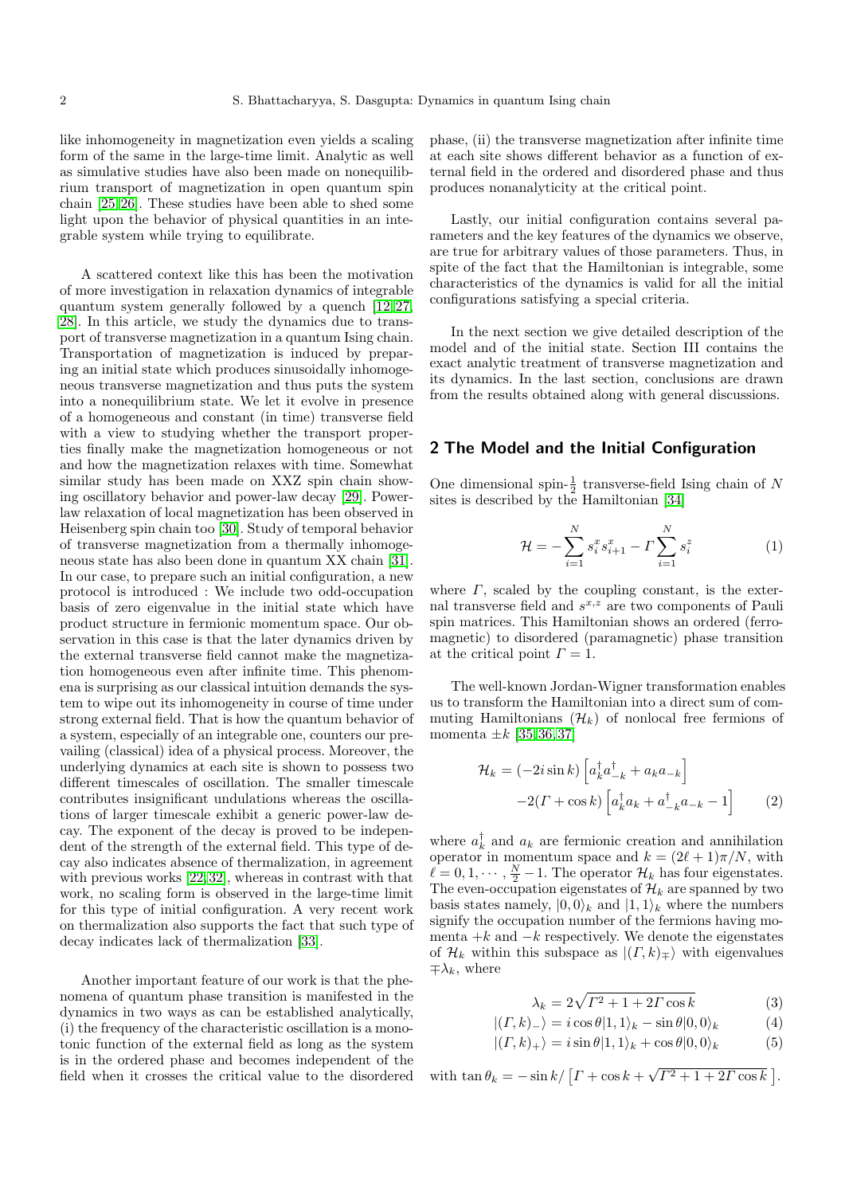like inhomogeneity in magnetization even yields a scaling form of the same in the large-time limit. Analytic as well as simulative studies have also been made on nonequilibrium transport of magnetization in open quantum spin chain [\[25,](#page-6-24)[26\]](#page-6-25). These studies have been able to shed some light upon the behavior of physical quantities in an integrable system while trying to equilibrate.

A scattered context like this has been the motivation of more investigation in relaxation dynamics of integrable quantum system generally followed by a quench [\[12,](#page-6-11) [27,](#page-6-26) [28\]](#page-6-27). In this article, we study the dynamics due to transport of transverse magnetization in a quantum Ising chain. Transportation of magnetization is induced by preparing an initial state which produces sinusoidally inhomogeneous transverse magnetization and thus puts the system into a nonequilibrium state. We let it evolve in presence of a homogeneous and constant (in time) transverse field with a view to studying whether the transport properties finally make the magnetization homogeneous or not and how the magnetization relaxes with time. Somewhat similar study has been made on XXZ spin chain showing oscillatory behavior and power-law decay [\[29\]](#page-6-28). Powerlaw relaxation of local magnetization has been observed in Heisenberg spin chain too [\[30\]](#page-6-29). Study of temporal behavior of transverse magnetization from a thermally inhomogeneous state has also been done in quantum XX chain [\[31\]](#page-6-30). In our case, to prepare such an initial configuration, a new protocol is introduced : We include two odd-occupation basis of zero eigenvalue in the initial state which have product structure in fermionic momentum space. Our observation in this case is that the later dynamics driven by the external transverse field cannot make the magnetization homogeneous even after infinite time. This phenomena is surprising as our classical intuition demands the system to wipe out its inhomogeneity in course of time under strong external field. That is how the quantum behavior of a system, especially of an integrable one, counters our prevailing (classical) idea of a physical process. Moreover, the underlying dynamics at each site is shown to possess two different timescales of oscillation. The smaller timescale contributes insignificant undulations whereas the oscillations of larger timescale exhibit a generic power-law decay. The exponent of the decay is proved to be independent of the strength of the external field. This type of decay also indicates absence of thermalization, in agreement with previous works [\[22,](#page-6-21) [32\]](#page-6-31), whereas in contrast with that work, no scaling form is observed in the large-time limit for this type of initial configuration. A very recent work on thermalization also supports the fact that such type of decay indicates lack of thermalization [\[33\]](#page-6-32).

Another important feature of our work is that the phenomena of quantum phase transition is manifested in the dynamics in two ways as can be established analytically, (i) the frequency of the characteristic oscillation is a monotonic function of the external field as long as the system is in the ordered phase and becomes independent of the field when it crosses the critical value to the disordered phase, (ii) the transverse magnetization after infinite time at each site shows different behavior as a function of external field in the ordered and disordered phase and thus produces nonanalyticity at the critical point.

Lastly, our initial configuration contains several parameters and the key features of the dynamics we observe, are true for arbitrary values of those parameters. Thus, in spite of the fact that the Hamiltonian is integrable, some characteristics of the dynamics is valid for all the initial configurations satisfying a special criteria.

In the next section we give detailed description of the model and of the initial state. Section III contains the exact analytic treatment of transverse magnetization and its dynamics. In the last section, conclusions are drawn from the results obtained along with general discussions.

### 2 The Model and the Initial Configuration

One dimensional spin- $\frac{1}{2}$  transverse-field Ising chain of N sites is described by the Hamiltonian [\[34\]](#page-6-33)

$$
\mathcal{H} = -\sum_{i=1}^{N} s_i^x s_{i+1}^x - \Gamma \sum_{i=1}^{N} s_i^z \tag{1}
$$

where  $\Gamma$ , scaled by the coupling constant, is the external transverse field and  $s^{x,z}$  are two components of Pauli spin matrices. This Hamiltonian shows an ordered (ferromagnetic) to disordered (paramagnetic) phase transition at the critical point  $\Gamma = 1$ .

The well-known Jordan-Wigner transformation enables us to transform the Hamiltonian into a direct sum of commuting Hamiltonians  $(\mathcal{H}_k)$  of nonlocal free fermions of momenta  $\pm k$  [\[35,](#page-6-34) [36,](#page-6-35) [37\]](#page-6-36)

$$
\mathcal{H}_k = (-2i\sin k) \left[ a_k^\dagger a_{-k}^\dagger + a_k a_{-k} \right]
$$

$$
-2(\Gamma + \cos k) \left[ a_k^\dagger a_k + a_{-k}^\dagger a_{-k} - 1 \right] \tag{2}
$$

where  $a_k^{\dagger}$  and  $a_k$  are fermionic creation and annihilation operator in momentum space and  $k = (2\ell + 1)\pi/N$ , with  $\ell = 0, 1, \cdots, \frac{N}{2} - 1$ . The operator  $\mathcal{H}_k$  has four eigenstates. The even-occupation eigenstates of  $\mathcal{H}_k$  are spanned by two basis states namely,  $|0,0\rangle_k$  and  $|1,1\rangle_k$  where the numbers signify the occupation number of the fermions having momenta  $+k$  and  $-k$  respectively. We denote the eigenstates of  $\mathcal{H}_k$  within this subspace as  $|( \Gamma, k)_\mp \rangle$  with eigenvalues  $\mp \lambda_k$ , where

$$
\lambda_k = 2\sqrt{\Gamma^2 + 1 + 2\Gamma\cos k} \tag{3}
$$

$$
|(I, k)_{-}\rangle = i\cos\theta|1, 1\rangle_{k} - \sin\theta|0, 0\rangle_{k}
$$
 (4)

$$
|(T,k)_+\rangle = i\sin\theta|1,1\rangle_k + \cos\theta|0,0\rangle_k \tag{5}
$$

with  $\tan \theta_k = -\sin k / \left[ \Gamma + \cos k + \right]$  $\sqrt{\Gamma^2 + 1 + 2\Gamma \cos k}$ ].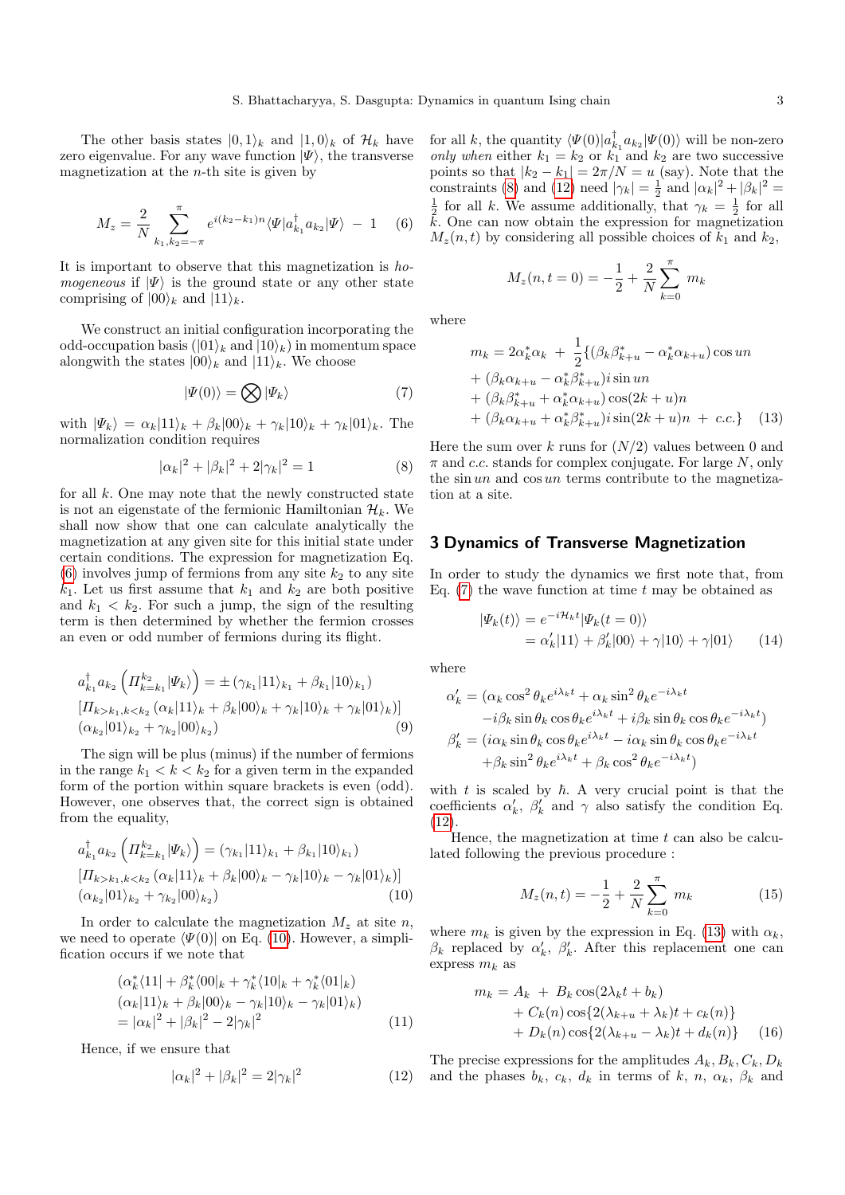The other basis states  $|0, 1\rangle_k$  and  $|1, 0\rangle_k$  of  $\mathcal{H}_k$  have zero eigenvalue. For any wave function  $|\Psi\rangle$ , the transverse magnetization at the  $n$ -th site is given by

<span id="page-2-0"></span>
$$
M_z = \frac{2}{N} \sum_{k_1, k_2 = -\pi}^{\pi} e^{i(k_2 - k_1)n} \langle \Psi | a_{k_1}^{\dagger} a_{k_2} | \Psi \rangle - 1 \quad (6)
$$

It is important to observe that this magnetization is ho*mogeneous* if  $|\Psi\rangle$  is the ground state or any other state comprising of  $|00\rangle_k$  and  $|11\rangle_k$ .

We construct an initial configuration incorporating the odd-occupation basis  $(|01\rangle_k$  and  $|10\rangle_k$ ) in momentum space alongwith the states  $|00\rangle_k$  and  $|11\rangle_k$ . We choose

<span id="page-2-4"></span>
$$
|\Psi(0)\rangle = \bigotimes |\Psi_k\rangle \tag{7}
$$

with  $|\Psi_k\rangle = \alpha_k |11\rangle_k + \beta_k |00\rangle_k + \gamma_k |10\rangle_k + \gamma_k |01\rangle_k$ . The normalization condition requires

<span id="page-2-2"></span>
$$
|\alpha_k|^2 + |\beta_k|^2 + 2|\gamma_k|^2 = 1
$$
 (8)

for all  $k$ . One may note that the newly constructed state is not an eigenstate of the fermionic Hamiltonian  $\mathcal{H}_k$ . We shall now show that one can calculate analytically the magnetization at any given site for this initial state under certain conditions. The expression for magnetization Eq.  $(6)$  involves jump of fermions from any site  $k_2$  to any site  $k_1$ . Let us first assume that  $k_1$  and  $k_2$  are both positive and  $k_1 < k_2$ . For such a jump, the sign of the resulting term is then determined by whether the fermion crosses an even or odd number of fermions during its flight.

$$
a_{k_1}^{\dagger} a_{k_2} \left( \Pi_{k=k_1}^{k_2} |\Psi_k \rangle \right) = \pm \left( \gamma_{k_1} |11\rangle_{k_1} + \beta_{k_1} |10\rangle_{k_1} \right)
$$
  
\n
$$
\left[ \Pi_{k>k_1,k \le k_2} \left( \alpha_k |11\rangle_k + \beta_k |00\rangle_k + \gamma_k |10\rangle_k + \gamma_k |01\rangle_k \right) \right]
$$
  
\n
$$
\left( \alpha_{k_2} |01\rangle_{k_2} + \gamma_{k_2} |00\rangle_{k_2} \right)
$$
  
\n(9)

The sign will be plus (minus) if the number of fermions in the range  $k_1 < k < k_2$  for a given term in the expanded form of the portion within square brackets is even (odd). However, one observes that, the correct sign is obtained from the equality,

<span id="page-2-1"></span>
$$
a_{k_1}^{\dagger} a_{k_2} \left( \Pi_{k=k_1}^{k_2} |\Psi_k \rangle \right) = (\gamma_{k_1} |11\rangle_{k_1} + \beta_{k_1} |10\rangle_{k_1})
$$
  
\n
$$
[\Pi_{k>k_1,k  
\n
$$
(\alpha_{k_2} |01\rangle_{k_2} + \gamma_{k_2} |00\rangle_{k_2})
$$
\n(10)
$$

In order to calculate the magnetization  $M_z$  at site n, we need to operate  $|\Psi(0)|$  on Eq. [\(10\)](#page-2-1). However, a simplification occurs if we note that

$$
(\alpha_k^* \langle 11| + \beta_k^* \langle 00|_k + \gamma_k^* \langle 10|_k + \gamma_k^* \langle 01|_k) \n(\alpha_k|11\rangle_k + \beta_k|00\rangle_k - \gamma_k|10\rangle_k - \gamma_k|01\rangle_k) \n= |\alpha_k|^2 + |\beta_k|^2 - 2|\gamma_k|^2
$$
\n(11)

Hence, if we ensure that

<span id="page-2-3"></span>
$$
|\alpha_k|^2 + |\beta_k|^2 = 2|\gamma_k|^2 \tag{12}
$$

for all k, the quantity  $\langle \Psi(0)|a_{k_1}^{\dagger} a_{k_2} | \Psi(0) \rangle$  will be non-zero only when either  $k_1 = k_2$  or  $k_1$  and  $k_2$  are two successive points so that  $|k_2 - k_1| = 2\pi/N = u$  (say). Note that the constraints [\(8\)](#page-2-2) and [\(12\)](#page-2-3) need  $|\gamma_k| = \frac{1}{2}$  and  $|\alpha_k|^2 + |\beta_k|^2 =$  $\frac{1}{2}$  for all k. We assume additionally, that  $\gamma_k = \frac{1}{2}$  for all k. One can now obtain the expression for magnetization  $M_z(n, t)$  by considering all possible choices of  $k_1$  and  $k_2$ ,

$$
M_z(n, t = 0) = -\frac{1}{2} + \frac{2}{N} \sum_{k=0}^{\pi} m_k
$$

where

<span id="page-2-5"></span>
$$
m_k = 2\alpha_k^* \alpha_k + \frac{1}{2} \{ (\beta_k \beta_{k+u}^* - \alpha_k^* \alpha_{k+u}) \cos un + (\beta_k \alpha_{k+u} - \alpha_k^* \beta_{k+u}^*) i \sin un + (\beta_k \beta_{k+u}^* + \alpha_k^* \alpha_{k+u}) \cos (2k + u)n + (\beta_k \alpha_{k+u} + \alpha_k^* \beta_{k+u}^*) i \sin (2k + u)n + c.c. \}
$$
 (13)

Here the sum over k runs for  $(N/2)$  values between 0 and  $\pi$  and c.c. stands for complex conjugate. For large N, only the sin un and cos un terms contribute to the magnetization at a site.

#### 3 Dynamics of Transverse Magnetization

In order to study the dynamics we first note that, from Eq.  $(7)$  the wave function at time t may be obtained as

$$
|\Psi_k(t)\rangle = e^{-i\mathcal{H}_k t} |\Psi_k(t=0)\rangle
$$
  
=  $\alpha'_k |11\rangle + \beta'_k |00\rangle + \gamma |10\rangle + \gamma |01\rangle$  (14)

where

$$
\alpha'_{k} = (\alpha_{k} \cos^{2} \theta_{k} e^{i\lambda_{k}t} + \alpha_{k} \sin^{2} \theta_{k} e^{-i\lambda_{k}t} \n-i\beta_{k} \sin \theta_{k} \cos \theta_{k} e^{i\lambda_{k}t} + i\beta_{k} \sin \theta_{k} \cos \theta_{k} e^{-i\lambda_{k}t}) \n\beta'_{k} = (i\alpha_{k} \sin \theta_{k} \cos \theta_{k} e^{i\lambda_{k}t} - i\alpha_{k} \sin \theta_{k} \cos \theta_{k} e^{-i\lambda_{k}t} \n+ \beta_{k} \sin^{2} \theta_{k} e^{i\lambda_{k}t} + \beta_{k} \cos^{2} \theta_{k} e^{-i\lambda_{k}t})
$$

with  $t$  is scaled by  $\hbar$ . A very crucial point is that the coefficients  $\alpha'_k$ ,  $\beta'_k$  and  $\gamma$  also satisfy the condition Eq. [\(12\)](#page-2-3).

Hence, the magnetization at time  $t$  can also be calculated following the previous procedure :

$$
M_z(n,t) = -\frac{1}{2} + \frac{2}{N} \sum_{k=0}^{\pi} m_k
$$
 (15)

where  $m_k$  is given by the expression in Eq. [\(13\)](#page-2-5) with  $\alpha_k$ ,  $\beta_k$  replaced by  $\alpha'_k$ ,  $\beta'_k$ . After this replacement one can express  $m_k$  as

$$
m_k = A_k + B_k \cos(2\lambda_k t + b_k)
$$
  
+  $C_k(n) \cos\{2(\lambda_{k+u} + \lambda_k)t + c_k(n)\}$   
+  $D_k(n) \cos\{2(\lambda_{k+u} - \lambda_k)t + d_k(n)\}$  (16)

The precise expressions for the amplitudes  $A_k, B_k, C_k, D_k$ and the phases  $b_k$ ,  $c_k$ ,  $d_k$  in terms of k, n,  $\alpha_k$ ,  $\beta_k$  and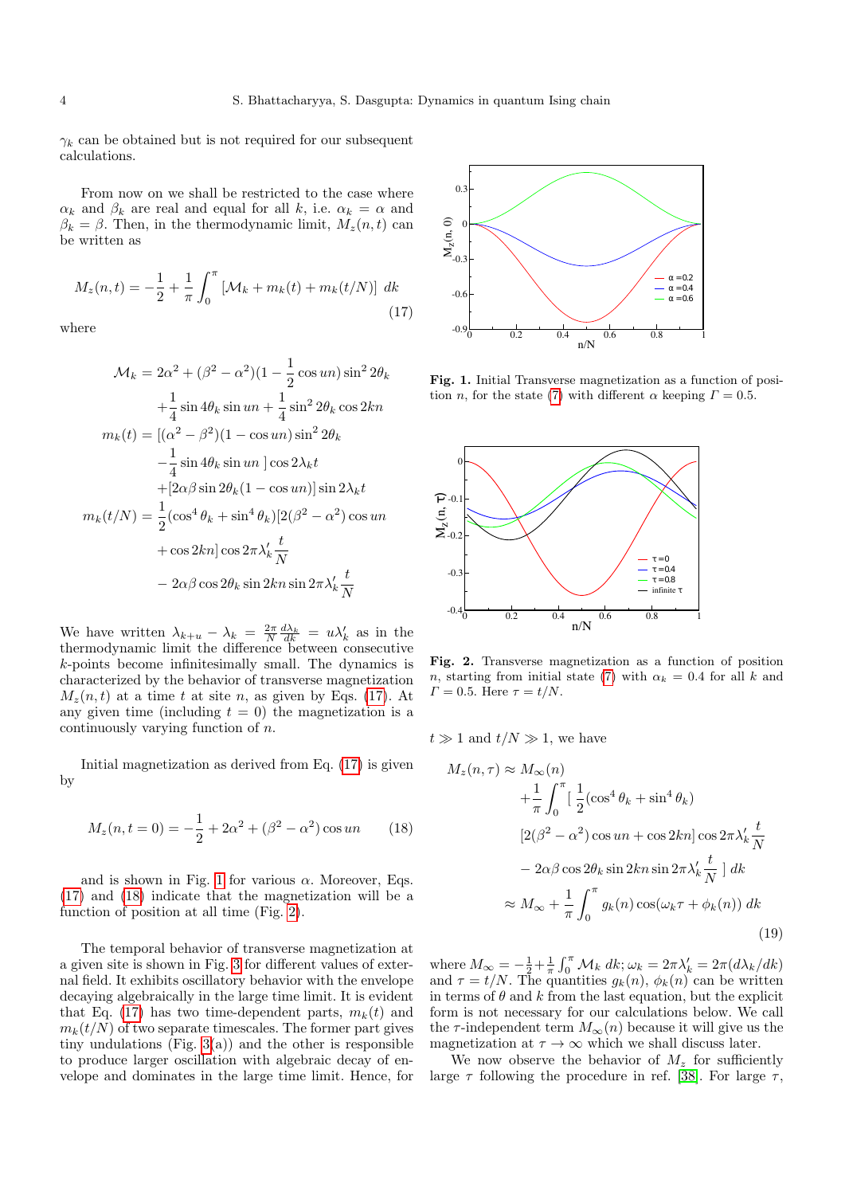$\gamma_k$  can be obtained but is not required for our subsequent calculations.

From now on we shall be restricted to the case where  $\alpha_k$  and  $\beta_k$  are real and equal for all k, i.e.  $\alpha_k = \alpha$  and  $\beta_k = \beta$ . Then, in the thermodynamic limit,  $M_z(n, t)$  can be written as

<span id="page-3-0"></span>
$$
M_z(n,t) = -\frac{1}{2} + \frac{1}{\pi} \int_0^{\pi} \left[ \mathcal{M}_k + m_k(t) + m_k(t/N) \right] dk
$$
\n(17)

where

$$
\mathcal{M}_k = 2\alpha^2 + (\beta^2 - \alpha^2)(1 - \frac{1}{2}\cos un)\sin^2 2\theta_k
$$
  
+  $\frac{1}{4}\sin 4\theta_k \sin un + \frac{1}{4}\sin^2 2\theta_k \cos 2kn$   

$$
m_k(t) = [(\alpha^2 - \beta^2)(1 - \cos un)\sin^2 2\theta_k
$$
  
-  $\frac{1}{4}\sin 4\theta_k \sin un \cos 2\lambda_k t$   
+  $[2\alpha\beta \sin 2\theta_k(1 - \cos un)]\sin 2\lambda_k t$   

$$
m_k(t/N) = \frac{1}{2}(\cos^4 \theta_k + \sin^4 \theta_k)[2(\beta^2 - \alpha^2)\cos un
$$
  
+  $\cos 2kn \cos 2\pi \lambda'_k \frac{t}{N}$   
-  $2\alpha\beta \cos 2\theta_k \sin 2kn \sin 2\pi \lambda'_k \frac{t}{N}$ 

We have written  $\lambda_{k+u} - \lambda_k = \frac{2\pi}{N} \frac{d\lambda_k}{dk} = u\lambda'_k$  as in the thermodynamic limit the difference between consecutive k-points become infinitesimally small. The dynamics is characterized by the behavior of transverse magnetization  $M_z(n, t)$  at a time t at site n, as given by Eqs. [\(17\)](#page-3-0). At any given time (including  $t = 0$ ) the magnetization is a continuously varying function of n.

Initial magnetization as derived from Eq. [\(17\)](#page-3-0) is given by

<span id="page-3-2"></span>
$$
M_z(n, t = 0) = -\frac{1}{2} + 2\alpha^2 + (\beta^2 - \alpha^2)\cos un \qquad (18)
$$

and is shown in Fig. [1](#page-3-1) for various  $\alpha$ . Moreover, Eqs. [\(17\)](#page-3-0) and [\(18\)](#page-3-2) indicate that the magnetization will be a function of position at all time (Fig. [2\)](#page-3-3).

The temporal behavior of transverse magnetization at a given site is shown in Fig. [3](#page-4-0) for different values of external field. It exhibits oscillatory behavior with the envelope decaying algebraically in the large time limit. It is evident that Eq. [\(17\)](#page-3-0) has two time-dependent parts,  $m_k(t)$  and  $m_k(t/N)$  of two separate timescales. The former part gives tiny undulations (Fig.  $3(a)$ ) and the other is responsible to produce larger oscillation with algebraic decay of envelope and dominates in the large time limit. Hence, for



<span id="page-3-1"></span>Fig. 1. Initial Transverse magnetization as a function of position *n*, for the state [\(7\)](#page-2-4) with different  $\alpha$  keeping  $\Gamma = 0.5$ .



<span id="page-3-3"></span>Fig. 2. Transverse magnetization as a function of position n, starting from initial state [\(7\)](#page-2-4) with  $\alpha_k = 0.4$  for all k and  $\Gamma = 0.5$ . Here  $\tau = t/N$ .

 $t \gg 1$  and  $t/N \gg 1$ , we have

$$
M_z(n,\tau) \approx M_{\infty}(n)
$$
  
+  $\frac{1}{\pi} \int_0^{\pi} \left[ \frac{1}{2} (\cos^4 \theta_k + \sin^4 \theta_k) \right]$   

$$
\left[ 2(\beta^2 - \alpha^2) \cos un + \cos 2kn \right] \cos 2\pi \lambda'_k \frac{t}{N}
$$
  
-  $2\alpha\beta \cos 2\theta_k \sin 2kn \sin 2\pi \lambda'_k \frac{t}{N} \right] dk$   
 $\approx M_{\infty} + \frac{1}{\pi} \int_0^{\pi} g_k(n) \cos(\omega_k \tau + \phi_k(n)) dk$  (19)

where  $M_{\infty} = -\frac{1}{2} + \frac{1}{\pi} \int_0^{\pi} M_k \, dk$ ;  $\omega_k = 2\pi \lambda'_k = 2\pi (d\lambda_k/dk)$ and  $\tau = t/N$ . The quantities  $g_k(n)$ ,  $\phi_k(n)$  can be written in terms of  $\theta$  and  $k$  from the last equation, but the explicit form is not necessary for our calculations below. We call the  $\tau$ -independent term  $M_{\infty}(n)$  because it will give us the magnetization at  $\tau \to \infty$  which we shall discuss later.

We now observe the behavior of  $M_z$  for sufficiently large  $\tau$  following the procedure in ref. [\[38\]](#page-6-37). For large  $\tau$ ,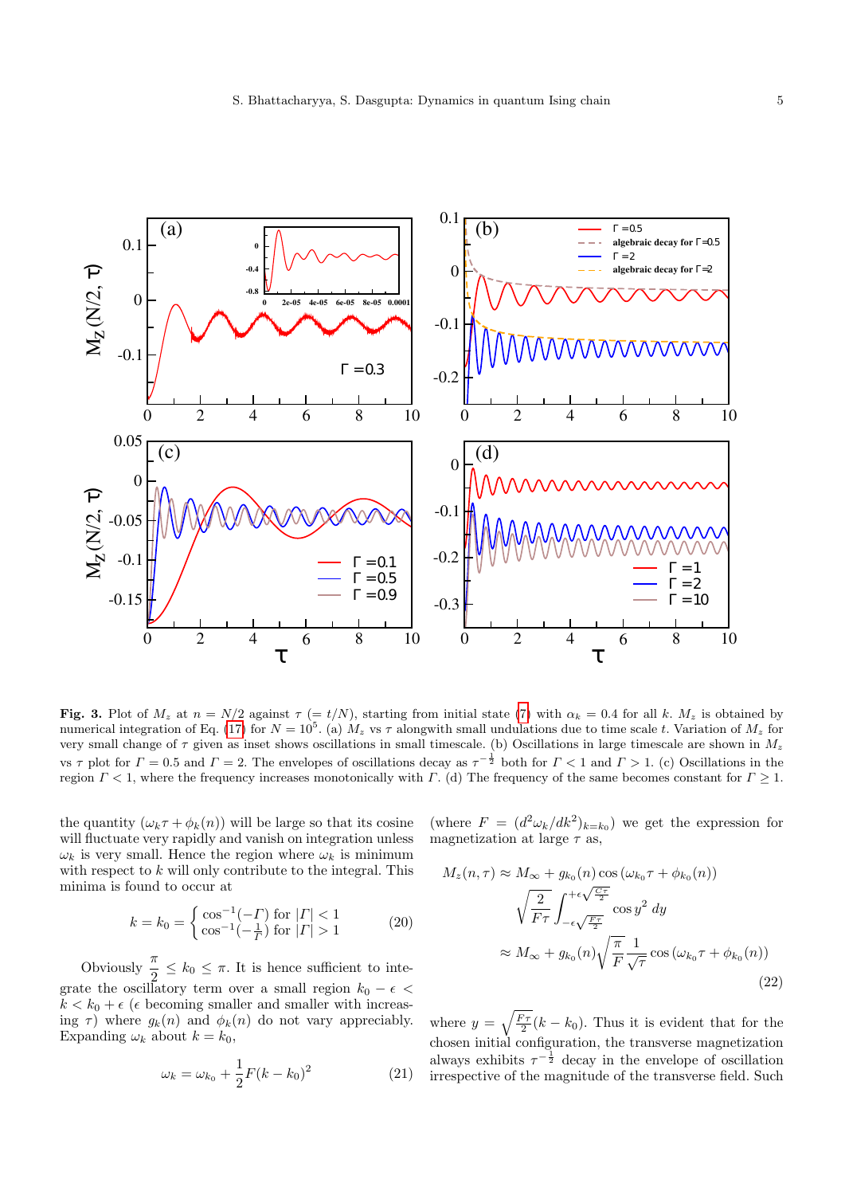

<span id="page-4-0"></span>Fig. 3. Plot of  $M_z$  at  $n = N/2$  against  $\tau (= t/N)$ , starting from initial state [\(7\)](#page-2-4) with  $\alpha_k = 0.4$  for all k.  $M_z$  is obtained by numerical integration of Eq. [\(17\)](#page-3-0) for  $N = 10^5$ . (a)  $M_z$  vs  $\tau$  alongwith small undulations due to time scale t. Variation of  $M_z$  for very small change of  $\tau$  given as inset shows oscillations in small timescale. (b) Oscillations in large timescale are shown in  $M_z$ vs  $\tau$  plot for  $\Gamma = 0.5$  and  $\Gamma = 2$ . The envelopes of oscillations decay as  $\tau^{-\frac{1}{2}}$  both for  $\Gamma < 1$  and  $\Gamma > 1$ . (c) Oscillations in the region  $\Gamma < 1$ , where the frequency increases monotonically with  $\Gamma$ . (d) The frequency of the same becomes constant for  $\Gamma \geq 1$ .

the quantity  $(\omega_k \tau + \phi_k(n))$  will be large so that its cosine will fluctuate very rapidly and vanish on integration unless  $\omega_k$  is very small. Hence the region where  $\omega_k$  is minimum with respect to  $k$  will only contribute to the integral. This minima is found to occur at

<span id="page-4-1"></span>
$$
k = k_0 = \begin{cases} \cos^{-1}(-\Gamma) & \text{for } |\Gamma| < 1\\ \cos^{-1}(-\frac{1}{\Gamma}) & \text{for } |\Gamma| > 1 \end{cases} \tag{20}
$$

Obviously  $\frac{\pi}{2} \leq k_0 \leq \pi$ . It is hence sufficient to integrate the oscillatory term over a small region  $k_0 - \epsilon$  $k < k_0 + \epsilon$  ( $\epsilon$  becoming smaller and smaller with increasing  $\tau$ ) where  $g_k(n)$  and  $\phi_k(n)$  do not vary appreciably. Expanding  $\omega_k$  about  $k = k_0$ ,

$$
\omega_k = \omega_{k_0} + \frac{1}{2}F(k - k_0)^2
$$
 (21)

(where  $F = (d^2\omega_k/dk^2)_{k=k_0}$ ) we get the expression for magnetization at large  $\tau$  as,

$$
M_z(n,\tau) \approx M_{\infty} + g_{k_0}(n) \cos(\omega_{k_0}\tau + \phi_{k_0}(n))
$$
  

$$
\sqrt{\frac{2}{F\tau}} \int_{-\epsilon\sqrt{\frac{F\tau}{2}}}^{+\epsilon\sqrt{\frac{C\tau}{2}}} \cos y^2 dy
$$
  

$$
\approx M_{\infty} + g_{k_0}(n) \sqrt{\frac{\pi}{F}} \frac{1}{\sqrt{\tau}} \cos(\omega_{k_0}\tau + \phi_{k_0}(n))
$$
(22)

where  $y = \sqrt{\frac{F\tau}{2}}(k - k_0)$ . Thus it is evident that for the chosen initial configuration, the transverse magnetization always exhibits  $\tau^{-\frac{1}{2}}$  decay in the envelope of oscillation irrespective of the magnitude of the transverse field. Such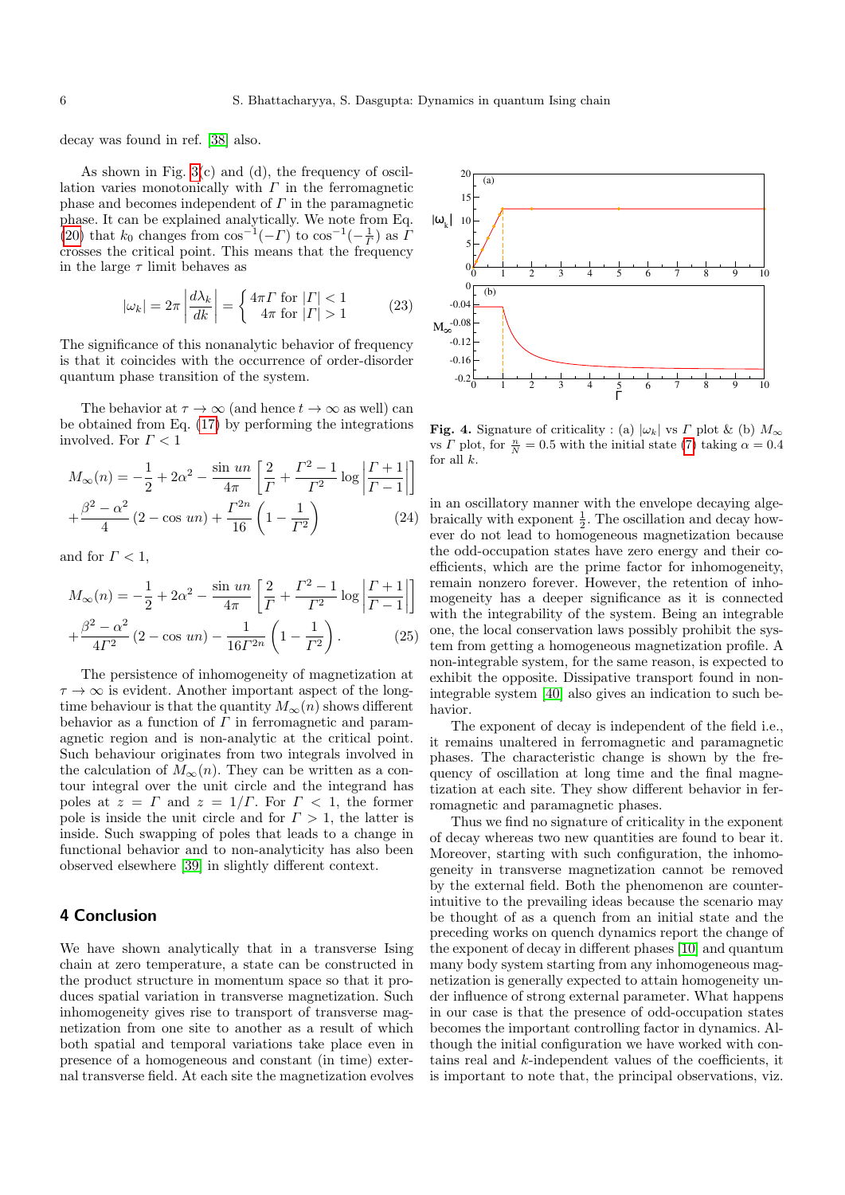decay was found in ref. [\[38\]](#page-6-37) also.

As shown in Fig. [3\(](#page-4-0)c) and (d), the frequency of oscillation varies monotonically with  $\Gamma$  in the ferromagnetic phase and becomes independent of  $\Gamma$  in the paramagnetic phase. It can be explained analytically. We note from Eq. [\(20\)](#page-4-1) that  $k_0$  changes from  $\cos^{-1}(-\Gamma)$  to  $\cos^{-1}(-\frac{1}{\Gamma})$  as  $\overline{\Gamma}$ crosses the critical point. This means that the frequency in the large  $\tau$  limit behaves as

$$
|\omega_k| = 2\pi \left| \frac{d\lambda_k}{dk} \right| = \begin{cases} 4\pi \Gamma \text{ for } |\Gamma| < 1\\ 4\pi \text{ for } |\Gamma| > 1 \end{cases} \tag{23}
$$

The significance of this nonanalytic behavior of frequency is that it coincides with the occurrence of order-disorder quantum phase transition of the system.

The behavior at  $\tau \to \infty$  (and hence  $t \to \infty$  as well) can be obtained from Eq. [\(17\)](#page-3-0) by performing the integrations involved. For  $\Gamma < 1$ 

$$
M_{\infty}(n) = -\frac{1}{2} + 2\alpha^2 - \frac{\sin un}{4\pi} \left[ \frac{2}{\Gamma} + \frac{\Gamma^2 - 1}{\Gamma^2} \log \left| \frac{\Gamma + 1}{\Gamma - 1} \right| \right] + \frac{\beta^2 - \alpha^2}{4} (2 - \cos un) + \frac{\Gamma^{2n}}{16} \left( 1 - \frac{1}{\Gamma^2} \right)
$$
(24)

and for  $\Gamma < 1$ ,

$$
M_{\infty}(n) = -\frac{1}{2} + 2\alpha^2 - \frac{\sin un}{4\pi} \left[ \frac{2}{\Gamma} + \frac{\Gamma^2 - 1}{\Gamma^2} \log \left| \frac{\Gamma + 1}{\Gamma - 1} \right| \right] + \frac{\beta^2 - \alpha^2}{4\Gamma^2} (2 - \cos un) - \frac{1}{16\Gamma^{2n}} \left( 1 - \frac{1}{\Gamma^2} \right). \tag{25}
$$

The persistence of inhomogeneity of magnetization at  $\tau \to \infty$  is evident. Another important aspect of the longtime behaviour is that the quantity  $M_{\infty}(n)$  shows different behavior as a function of  $\overline{\Gamma}$  in ferromagnetic and paramagnetic region and is non-analytic at the critical point. Such behaviour originates from two integrals involved in the calculation of  $M_{\infty}(n)$ . They can be written as a contour integral over the unit circle and the integrand has poles at  $z = \Gamma$  and  $z = 1/\Gamma$ . For  $\Gamma < 1$ , the former pole is inside the unit circle and for  $\Gamma > 1$ , the latter is inside. Such swapping of poles that leads to a change in functional behavior and to non-analyticity has also been observed elsewhere [\[39\]](#page-6-38) in slightly different context.

#### 4 Conclusion

We have shown analytically that in a transverse Ising chain at zero temperature, a state can be constructed in the product structure in momentum space so that it produces spatial variation in transverse magnetization. Such inhomogeneity gives rise to transport of transverse magnetization from one site to another as a result of which both spatial and temporal variations take place even in presence of a homogeneous and constant (in time) external transverse field. At each site the magnetization evolves



Fig. 4. Signature of criticality : (a)  $|\omega_k|$  vs  $\Gamma$  plot & (b)  $M_{\infty}$ vs $\varGamma$  plot, for  $\frac{n}{N}=0.5$  with the initial state [\(7\)](#page-2-4) taking  $\alpha=0.4$ for all  $k$ .

in an oscillatory manner with the envelope decaying algebraically with exponent  $\frac{1}{2}$ . The oscillation and decay however do not lead to homogeneous magnetization because the odd-occupation states have zero energy and their coefficients, which are the prime factor for inhomogeneity, remain nonzero forever. However, the retention of inhomogeneity has a deeper significance as it is connected with the integrability of the system. Being an integrable one, the local conservation laws possibly prohibit the system from getting a homogeneous magnetization profile. A non-integrable system, for the same reason, is expected to exhibit the opposite. Dissipative transport found in nonintegrable system [\[40\]](#page-6-39) also gives an indication to such behavior.

The exponent of decay is independent of the field i.e., it remains unaltered in ferromagnetic and paramagnetic phases. The characteristic change is shown by the frequency of oscillation at long time and the final magnetization at each site. They show different behavior in ferromagnetic and paramagnetic phases.

Thus we find no signature of criticality in the exponent of decay whereas two new quantities are found to bear it. Moreover, starting with such configuration, the inhomogeneity in transverse magnetization cannot be removed by the external field. Both the phenomenon are counterintuitive to the prevailing ideas because the scenario may be thought of as a quench from an initial state and the preceding works on quench dynamics report the change of the exponent of decay in different phases [\[10\]](#page-6-9) and quantum many body system starting from any inhomogeneous magnetization is generally expected to attain homogeneity under influence of strong external parameter. What happens in our case is that the presence of odd-occupation states becomes the important controlling factor in dynamics. Although the initial configuration we have worked with contains real and k-independent values of the coefficients, it is important to note that, the principal observations, viz.